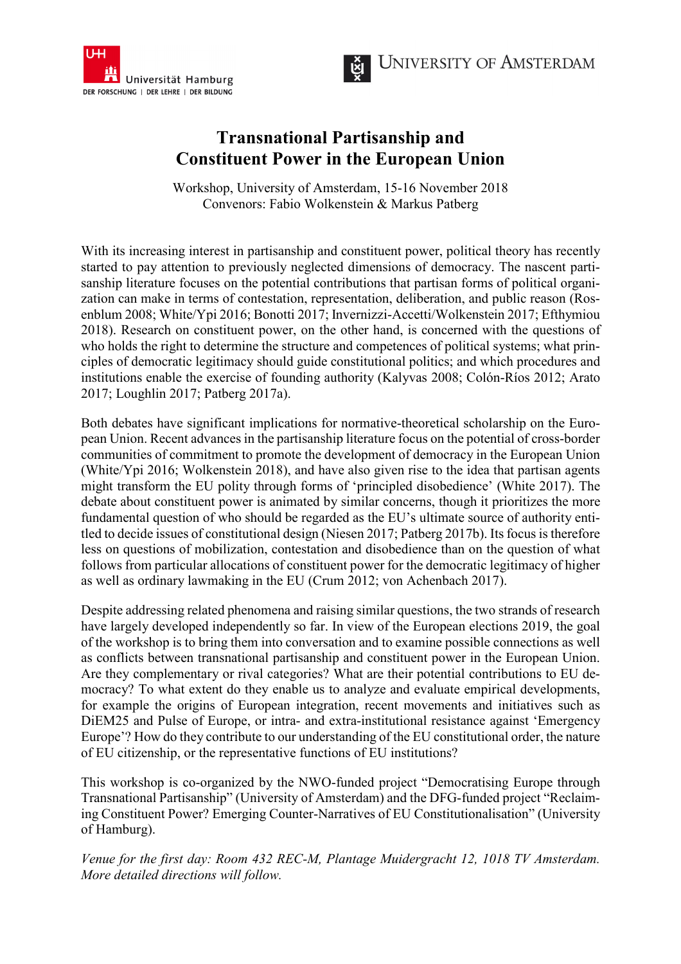



## **Transnational Partisanship and Constituent Power in the European Union**

Workshop, University of Amsterdam, 15-16 November 2018 Convenors: Fabio Wolkenstein & Markus Patberg

With its increasing interest in partisanship and constituent power, political theory has recently started to pay attention to previously neglected dimensions of democracy. The nascent partisanship literature focuses on the potential contributions that partisan forms of political organization can make in terms of contestation, representation, deliberation, and public reason (Rosenblum 2008; White/Ypi 2016; Bonotti 2017; Invernizzi-Accetti/Wolkenstein 2017; Efthymiou 2018). Research on constituent power, on the other hand, is concerned with the questions of who holds the right to determine the structure and competences of political systems; what principles of democratic legitimacy should guide constitutional politics; and which procedures and institutions enable the exercise of founding authority (Kalyvas 2008; Colón-Ríos 2012; Arato 2017; Loughlin 2017; Patberg 2017a).

Both debates have significant implications for normative-theoretical scholarship on the European Union. Recent advances in the partisanship literature focus on the potential of cross-border communities of commitment to promote the development of democracy in the European Union (White/Ypi 2016; Wolkenstein 2018), and have also given rise to the idea that partisan agents might transform the EU polity through forms of 'principled disobedience' (White 2017). The debate about constituent power is animated by similar concerns, though it prioritizes the more fundamental question of who should be regarded as the EU's ultimate source of authority entitled to decide issues of constitutional design (Niesen 2017; Patberg 2017b). Its focus is therefore less on questions of mobilization, contestation and disobedience than on the question of what follows from particular allocations of constituent power for the democratic legitimacy of higher as well as ordinary lawmaking in the EU (Crum 2012; von Achenbach 2017).

Despite addressing related phenomena and raising similar questions, the two strands of research have largely developed independently so far. In view of the European elections 2019, the goal of the workshop is to bring them into conversation and to examine possible connections as well as conflicts between transnational partisanship and constituent power in the European Union. Are they complementary or rival categories? What are their potential contributions to EU democracy? To what extent do they enable us to analyze and evaluate empirical developments, for example the origins of European integration, recent movements and initiatives such as DiEM25 and Pulse of Europe, or intra- and extra-institutional resistance against 'Emergency Europe'? How do they contribute to our understanding of the EU constitutional order, the nature of EU citizenship, or the representative functions of EU institutions?

This workshop is co-organized by the NWO-funded project "Democratising Europe through Transnational Partisanship" (University of Amsterdam) and the DFG-funded project "Reclaiming Constituent Power? Emerging Counter-Narratives of EU Constitutionalisation" (University of Hamburg).

*Venue for the first day: Room 432 REC-M, Plantage Muidergracht 12, 1018 TV Amsterdam. More detailed directions will follow.*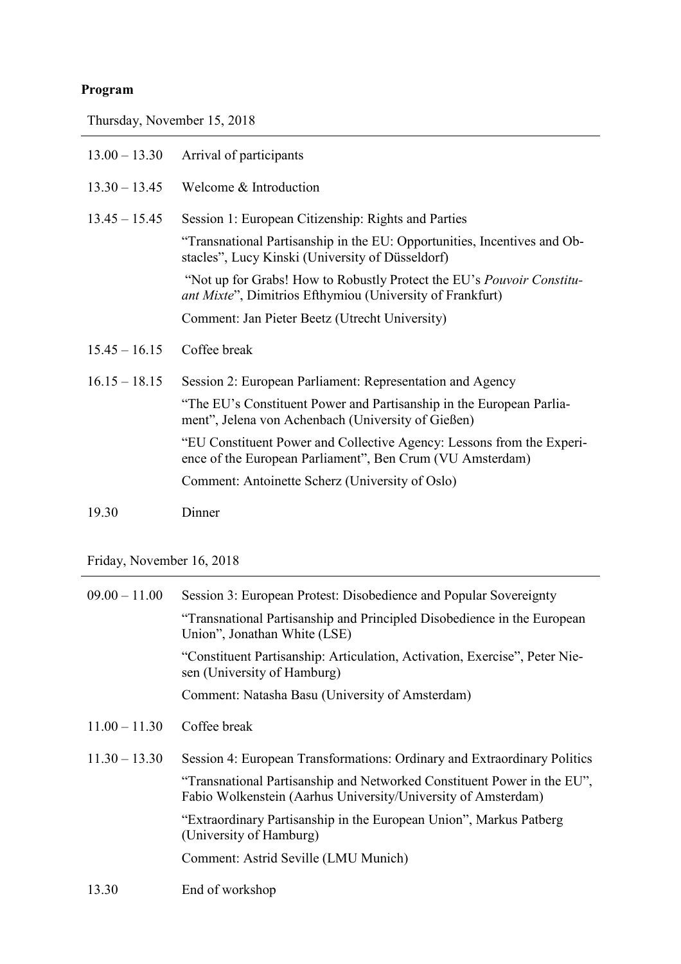## **Program**

Thursday, November 15, 2018

| $13.00 - 13.30$ | Arrival of participants                                                                                                                   |
|-----------------|-------------------------------------------------------------------------------------------------------------------------------------------|
| $13.30 - 13.45$ | Welcome & Introduction                                                                                                                    |
| $13.45 - 15.45$ | Session 1: European Citizenship: Rights and Parties                                                                                       |
|                 | "Transnational Partisanship in the EU: Opportunities, Incentives and Ob-<br>stacles", Lucy Kinski (University of Düsseldorf)              |
|                 | "Not up for Grabs! How to Robustly Protect the EU's <i>Pouvoir Constitu-</i><br>ant Mixte", Dimitrios Efthymiou (University of Frankfurt) |
|                 | Comment: Jan Pieter Beetz (Utrecht University)                                                                                            |
|                 |                                                                                                                                           |
| $15.45 - 16.15$ | Coffee break                                                                                                                              |
| $16.15 - 18.15$ | Session 2: European Parliament: Representation and Agency                                                                                 |
|                 | "The EU's Constituent Power and Partisanship in the European Parlia-<br>ment", Jelena von Achenbach (University of Gießen)                |
|                 | "EU Constituent Power and Collective Agency: Lessons from the Experi-<br>ence of the European Parliament", Ben Crum (VU Amsterdam)        |
|                 | Comment: Antoinette Scherz (University of Oslo)                                                                                           |

Friday, November 16, 2018

| $09.00 - 11.00$ | Session 3: European Protest: Disobedience and Popular Sovereignty                                                                        |
|-----------------|------------------------------------------------------------------------------------------------------------------------------------------|
|                 | "Transnational Partisanship and Principled Disobedience in the European<br>Union", Jonathan White (LSE)                                  |
|                 | "Constituent Partisanship: Articulation, Activation, Exercise", Peter Nie-<br>sen (University of Hamburg)                                |
|                 | Comment: Natasha Basu (University of Amsterdam)                                                                                          |
| $11.00 - 11.30$ | Coffee break                                                                                                                             |
| $11.30 - 13.30$ | Session 4: European Transformations: Ordinary and Extraordinary Politics                                                                 |
|                 | "Transnational Partisanship and Networked Constituent Power in the EU",<br>Fabio Wolkenstein (Aarhus University/University of Amsterdam) |
|                 | "Extraordinary Partisanship in the European Union", Markus Patberg<br>(University of Hamburg)                                            |
|                 | Comment: Astrid Seville (LMU Munich)                                                                                                     |
| 13.30           | End of workshop                                                                                                                          |